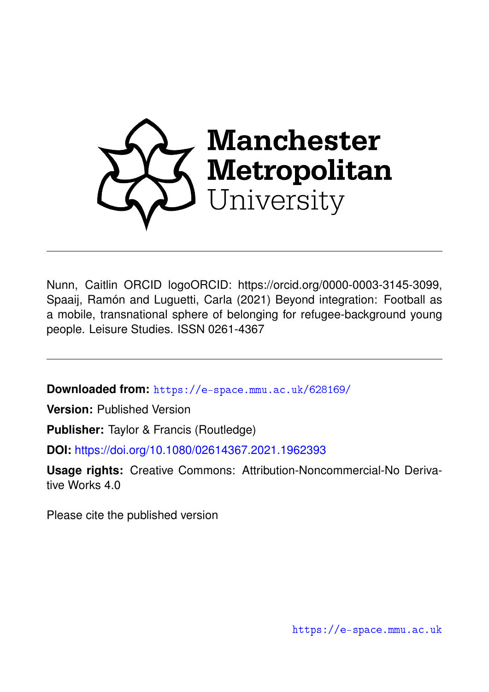

Nunn, Caitlin ORCID logoORCID: https://orcid.org/0000-0003-3145-3099, Spaaij, Ramón and Luguetti, Carla (2021) Beyond integration: Football as a mobile, transnational sphere of belonging for refugee-background young people. Leisure Studies. ISSN 0261-4367

**Downloaded from:** <https://e-space.mmu.ac.uk/628169/>

**Version:** Published Version

**Publisher:** Taylor & Francis (Routledge)

**DOI:** <https://doi.org/10.1080/02614367.2021.1962393>

**Usage rights:** Creative Commons: Attribution-Noncommercial-No Derivative Works 4.0

Please cite the published version

<https://e-space.mmu.ac.uk>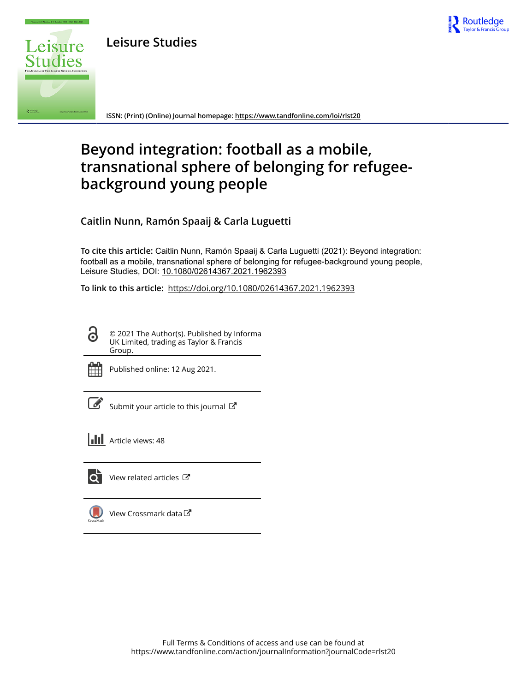

**Leisure Studies**



**ISSN: (Print) (Online) Journal homepage:<https://www.tandfonline.com/loi/rlst20>**

# **Beyond integration: football as a mobile, transnational sphere of belonging for refugeebackground young people**

**Caitlin Nunn, Ramón Spaaij & Carla Luguetti**

**To cite this article:** Caitlin Nunn, Ramón Spaaij & Carla Luguetti (2021): Beyond integration: football as a mobile, transnational sphere of belonging for refugee-background young people, Leisure Studies, DOI: [10.1080/02614367.2021.1962393](https://www.tandfonline.com/action/showCitFormats?doi=10.1080/02614367.2021.1962393)

**To link to this article:** <https://doi.org/10.1080/02614367.2021.1962393>

© 2021 The Author(s). Published by Informa UK Limited, trading as Taylor & Francis Group.



 $\bullet$ 

Published online: 12 Aug 2021.

[Submit your article to this journal](https://www.tandfonline.com/action/authorSubmission?journalCode=rlst20&show=instructions)  $\mathbb{Z}$ 

**III** Article views: 48



[View related articles](https://www.tandfonline.com/doi/mlt/10.1080/02614367.2021.1962393)  $\mathbb{Z}$ 

[View Crossmark data](http://crossmark.crossref.org/dialog/?doi=10.1080/02614367.2021.1962393&domain=pdf&date_stamp=2021-08-12)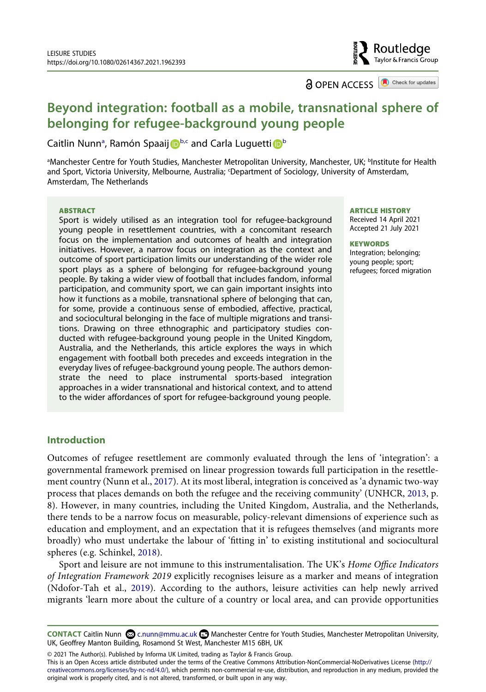

**a** OPEN ACCESS **a** Check for updates

# **Beyond integration: football as a mobile, transnational sphere of belonging for refugee-background young people**

Caitlin Nunn<sup>a</sup>, Ramón Spaaij D<sup>[b](#page-2-0)[,c](#page-2-1)</sup> and Carla Luguetti D<sup>b</sup>

<span id="page-2-1"></span><span id="page-2-0"></span><sup>a</sup>Manchester Centre for Youth Studies, Manchester Metropolitan University, Manchester, UK; <sup>b</sup>Institute for Health and Sport, Victoria University, Melbourne, Australia; <sup>c</sup>Department of Sociology, University of Amsterdam, Amsterdam, The Netherlands

#### **ABSTRACT**

Sport is widely utilised as an integration tool for refugee-background young people in resettlement countries, with a concomitant research focus on the implementation and outcomes of health and integration initiatives. However, a narrow focus on integration as the context and outcome of sport participation limits our understanding of the wider role sport plays as a sphere of belonging for refugee-background young people. By taking a wider view of football that includes fandom, informal participation, and community sport, we can gain important insights into how it functions as a mobile, transnational sphere of belonging that can, for some, provide a continuous sense of embodied, affective, practical, and sociocultural belonging in the face of multiple migrations and transitions. Drawing on three ethnographic and participatory studies conducted with refugee-background young people in the United Kingdom, Australia, and the Netherlands, this article explores the ways in which engagement with football both precedes and exceeds integration in the everyday lives of refugee-background young people. The authors demonstrate the need to place instrumental sports-based integration approaches in a wider transnational and historical context, and to attend to the wider affordances of sport for refugee-background young people.

#### **ARTICLE HISTORY**

Received 14 April 2021 Accepted 21 July 2021

#### **KEYWORDS**

Integration; belonging; young people; sport; refugees; forced migration

# **Introduction**

<span id="page-2-5"></span><span id="page-2-3"></span>Outcomes of refugee resettlement are commonly evaluated through the lens of 'integration': a governmental framework premised on linear progression towards full participation in the resettlement country (Nunn et al., [2017\)](#page-14-0). At its most liberal, integration is conceived as 'a dynamic two-way process that places demands on both the refugee and the receiving community' (UNHCR, [2013,](#page-15-0) p. 8). However, in many countries, including the United Kingdom, Australia, and the Netherlands, there tends to be a narrow focus on measurable, policy-relevant dimensions of experience such as education and employment, and an expectation that it is refugees themselves (and migrants more broadly) who must undertake the labour of 'fitting in' to existing institutional and sociocultural spheres (e.g. Schinkel, [2018](#page-14-1)).

<span id="page-2-4"></span><span id="page-2-2"></span>Sport and leisure are not immune to this instrumentalisation. The UK's *Home Office Indicators of Integration Framework 2019* explicitly recognises leisure as a marker and means of integration (Ndofor-Tah et al., [2019](#page-14-2)). According to the authors, leisure activities can help newly arrived migrants 'learn more about the culture of a country or local area, and can provide opportunities

**CONTACT Caitlin Nunn @ c.nunn@mmu.ac.uk <b>Manchester Centre for Youth Studies**, Manchester Metropolitan University, UK, Geoffrey Manton Building, Rosamond St West, Manchester M15 6BH, UK

© 2021 The Author(s). Published by Informa UK Limited, trading as Taylor & Francis Group.

This is an Open Access article distributed under the terms of the Creative Commons Attribution-NonCommercial-NoDerivatives License (http:// creativecommons.org/licenses/by-nc-nd/4.0/), which permits non-commercial re-use, distribution, and reproduction in any medium, provided the original work is properly cited, and is not altered, transformed, or built upon in any way.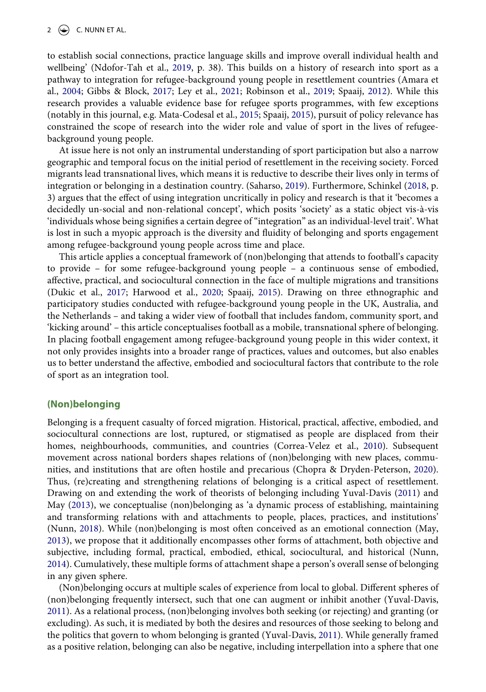<span id="page-3-0"></span>to establish social connections, practice language skills and improve overall individual health and wellbeing' (Ndofor-Tah et al., [2019](#page-14-2), p. 38). This builds on a history of research into sport as a pathway to integration for refugee-background young people in resettlement countries (Amara et al., [2004](#page-13-0); Gibbs & Block, [2017](#page-14-3); Ley et al., [2021;](#page-14-4) Robinson et al., [2019;](#page-14-5) Spaaij, [2012\)](#page-14-6). While this research provides a valuable evidence base for refugee sports programmes, with few exceptions (notably in this journal, e.g. Mata-Codesal et al., [2015;](#page-14-7) Spaaij, [2015](#page-14-8)), pursuit of policy relevance has constrained the scope of research into the wider role and value of sport in the lives of refugeebackground young people.

<span id="page-3-7"></span><span id="page-3-4"></span>At issue here is not only an instrumental understanding of sport participation but also a narrow geographic and temporal focus on the initial period of resettlement in the receiving society. Forced migrants lead transnational lives, which means it is reductive to describe their lives only in terms of integration or belonging in a destination country. (Saharso, [2019\)](#page-14-9). Furthermore, Schinkel ([2018,](#page-14-1) p. 3) argues that the effect of using integration uncritically in policy and research is that it 'becomes a decidedly un-social and non-relational concept', which posits 'society' as a static object vis-à-vis 'individuals whose being signifies a certain degree of "integration" as an individual-level trait'. What is lost in such a myopic approach is the diversity and fluidity of belonging and sports engagement among refugee-background young people across time and place.

<span id="page-3-3"></span>This article applies a conceptual framework of (non)belonging that attends to football's capacity to provide – for some refugee-background young people – a continuous sense of embodied, affective, practical, and sociocultural connection in the face of multiple migrations and transitions (Dukic et al., [2017;](#page-13-1) Harwood et al., [2020;](#page-14-10) Spaaij, [2015\)](#page-14-8). Drawing on three ethnographic and participatory studies conducted with refugee-background young people in the UK, Australia, and the Netherlands – and taking a wider view of football that includes fandom, community sport, and 'kicking around' – this article conceptualises football as a mobile, transnational sphere of belonging. In placing football engagement among refugee-background young people in this wider context, it not only provides insights into a broader range of practices, values and outcomes, but also enables us to better understand the affective, embodied and sociocultural factors that contribute to the role of sport as an integration tool.

#### **(Non)belonging**

<span id="page-3-2"></span><span id="page-3-1"></span>Belonging is a frequent casualty of forced migration. Historical, practical, affective, embodied, and sociocultural connections are lost, ruptured, or stigmatised as people are displaced from their homes, neighbourhoods, communities, and countries (Correa-Velez et al., [2010](#page-13-2)). Subsequent movement across national borders shapes relations of (non)belonging with new places, communities, and institutions that are often hostile and precarious (Chopra & Dryden-Peterson, [2020](#page-13-3)). Thus, (re)creating and strengthening relations of belonging is a critical aspect of resettlement. Drawing on and extending the work of theorists of belonging including Yuval-Davis [\(2011](#page-15-1)) and May ([2013\)](#page-14-11), we conceptualise (non)belonging as 'a dynamic process of establishing, maintaining and transforming relations with and attachments to people, places, practices, and institutions' (Nunn, [2018](#page-14-12)). While (non)belonging is most often conceived as an emotional connection (May, [2013](#page-14-11)), we propose that it additionally encompasses other forms of attachment, both objective and subjective, including formal, practical, embodied, ethical, sociocultural, and historical (Nunn, [2014](#page-14-13)). Cumulatively, these multiple forms of attachment shape a person's overall sense of belonging in any given sphere.

<span id="page-3-8"></span><span id="page-3-6"></span><span id="page-3-5"></span>(Non)belonging occurs at multiple scales of experience from local to global. Different spheres of (non)belonging frequently intersect, such that one can augment or inhibit another (Yuval-Davis, [2011](#page-15-1)). As a relational process, (non)belonging involves both seeking (or rejecting) and granting (or excluding). As such, it is mediated by both the desires and resources of those seeking to belong and the politics that govern to whom belonging is granted (Yuval-Davis, [2011\)](#page-15-1). While generally framed as a positive relation, belonging can also be negative, including interpellation into a sphere that one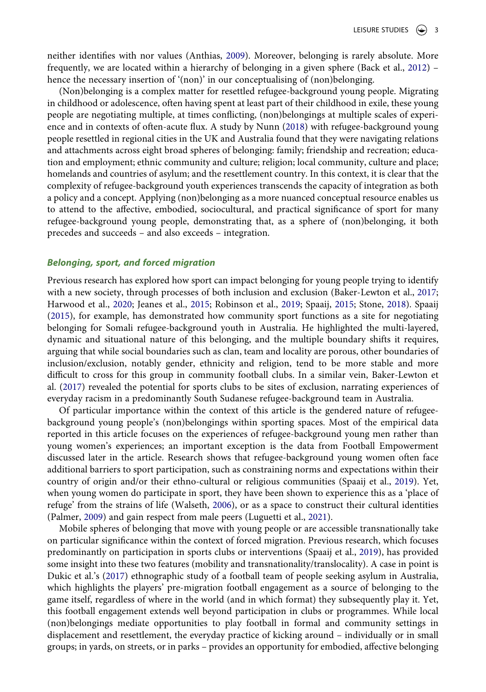<span id="page-4-1"></span><span id="page-4-0"></span>neither identifies with nor values (Anthias, [2009\)](#page-13-4). Moreover, belonging is rarely absolute. More frequently, we are located within a hierarchy of belonging in a given sphere (Back et al., [2012](#page-13-5)) – hence the necessary insertion of '(non)' in our conceptualising of (non)belonging.

(Non)belonging is a complex matter for resettled refugee-background young people. Migrating in childhood or adolescence, often having spent at least part of their childhood in exile, these young people are negotiating multiple, at times conflicting, (non)belongings at multiple scales of experience and in contexts of often-acute flux. A study by Nunn [\(2018](#page-14-12)) with refugee-background young people resettled in regional cities in the UK and Australia found that they were navigating relations and attachments across eight broad spheres of belonging: family; friendship and recreation; education and employment; ethnic community and culture; religion; local community, culture and place; homelands and countries of asylum; and the resettlement country. In this context, it is clear that the complexity of refugee-background youth experiences transcends the capacity of integration as both a policy and a concept. Applying (non)belonging as a more nuanced conceptual resource enables us to attend to the affective, embodied, sociocultural, and practical significance of sport for many refugee-background young people, demonstrating that, as a sphere of (non)belonging, it both precedes and succeeds – and also exceeds – integration.

#### *Belonging, sport, and forced migration*

<span id="page-4-3"></span>Previous research has explored how sport can impact belonging for young people trying to identify with a new society, through processes of both inclusion and exclusion (Baker-Lewton et al., [2017;](#page-13-6) Harwood et al., [2020;](#page-14-10) Jeanes et al., [2015;](#page-14-14) Robinson et al., [2019;](#page-14-5) Spaaij, [2015](#page-14-8); Stone, [2018](#page-15-2)). Spaaij [\(2015\)](#page-14-8), for example, has demonstrated how community sport functions as a site for negotiating belonging for Somali refugee-background youth in Australia. He highlighted the multi-layered, dynamic and situational nature of this belonging, and the multiple boundary shifts it requires, arguing that while social boundaries such as clan, team and locality are porous, other boundaries of inclusion/exclusion, notably gender, ethnicity and religion, tend to be more stable and more difficult to cross for this group in community football clubs. In a similar vein, Baker-Lewton et al. ([2017](#page-13-6)) revealed the potential for sports clubs to be sites of exclusion, narrating experiences of everyday racism in a predominantly South Sudanese refugee-background team in Australia.

<span id="page-4-2"></span>Of particular importance within the context of this article is the gendered nature of refugeebackground young people's (non)belongings within sporting spaces. Most of the empirical data reported in this article focuses on the experiences of refugee-background young men rather than young women's experiences; an important exception is the data from Football Empowerment discussed later in the article. Research shows that refugee-background young women often face additional barriers to sport participation, such as constraining norms and expectations within their country of origin and/or their ethno-cultural or religious communities (Spaaij et al., [2019](#page-15-3)). Yet, when young women do participate in sport, they have been shown to experience this as a 'place of refuge' from the strains of life (Walseth, [2006](#page-15-4)), or as a space to construct their cultural identities (Palmer, [2009](#page-14-15)) and gain respect from male peers (Luguetti et al., [2021](#page-14-16)).

<span id="page-4-6"></span><span id="page-4-5"></span><span id="page-4-4"></span>Mobile spheres of belonging that move with young people or are accessible transnationally take on particular significance within the context of forced migration. Previous research, which focuses predominantly on participation in sports clubs or interventions (Spaaij et al., [2019](#page-15-3)), has provided some insight into these two features (mobility and transnationality/translocality). A case in point is Dukic et al.'s [\(2017\)](#page-13-1) ethnographic study of a football team of people seeking asylum in Australia, which highlights the players' pre-migration football engagement as a source of belonging to the game itself, regardless of where in the world (and in which format) they subsequently play it. Yet, this football engagement extends well beyond participation in clubs or programmes. While local (non)belongings mediate opportunities to play football in formal and community settings in displacement and resettlement, the everyday practice of kicking around – individually or in small groups; in yards, on streets, or in parks – provides an opportunity for embodied, affective belonging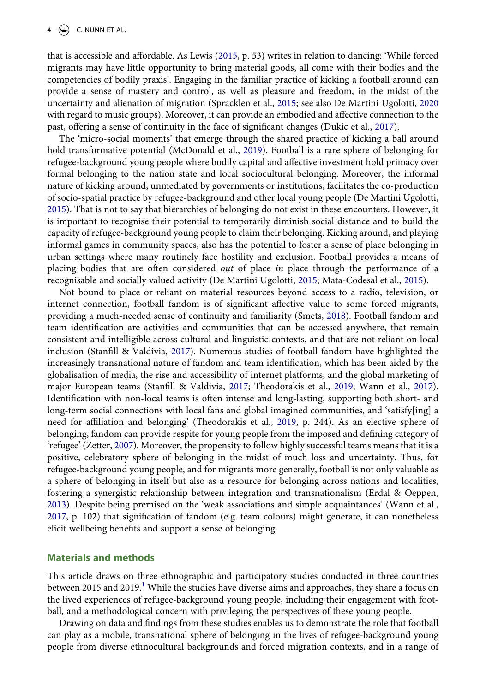<span id="page-5-3"></span>that is accessible and affordable. As Lewis ([2015,](#page-14-17) p. 53) writes in relation to dancing: 'While forced migrants may have little opportunity to bring material goods, all come with their bodies and the competencies of bodily praxis'. Engaging in the familiar practice of kicking a football around can provide a sense of mastery and control, as well as pleasure and freedom, in the midst of the uncertainty and alienation of migration (Spracklen et al., [2015;](#page-15-5) see also De Martini Ugolotti, [2020](#page-13-7) with regard to music groups). Moreover, it can provide an embodied and affective connection to the past, offering a sense of continuity in the face of significant changes (Dukic et al., [2017\)](#page-13-1).

<span id="page-5-4"></span><span id="page-5-1"></span>The 'micro-social moments' that emerge through the shared practice of kicking a ball around hold transformative potential (McDonald et al., [2019](#page-14-18)). Football is a rare sphere of belonging for refugee-background young people where bodily capital and affective investment hold primacy over formal belonging to the nation state and local sociocultural belonging. Moreover, the informal nature of kicking around, unmediated by governments or institutions, facilitates the co-production of socio-spatial practice by refugee-background and other local young people (De Martini Ugolotti, [2015](#page-13-8)). That is not to say that hierarchies of belonging do not exist in these encounters. However, it is important to recognise their potential to temporarily diminish social distance and to build the capacity of refugee-background young people to claim their belonging. Kicking around, and playing informal games in community spaces, also has the potential to foster a sense of place belonging in urban settings where many routinely face hostility and exclusion. Football provides a means of placing bodies that are often considered *out* of place *in* place through the performance of a recognisable and socially valued activity (De Martini Ugolotti, [2015;](#page-13-8) Mata-Codesal et al., [2015\)](#page-14-7).

<span id="page-5-7"></span><span id="page-5-6"></span><span id="page-5-5"></span><span id="page-5-0"></span>Not bound to place or reliant on material resources beyond access to a radio, television, or internet connection, football fandom is of significant affective value to some forced migrants, providing a much-needed sense of continuity and familiarity (Smets, [2018\)](#page-14-19). Football fandom and team identification are activities and communities that can be accessed anywhere, that remain consistent and intelligible across cultural and linguistic contexts, and that are not reliant on local inclusion (Stanfill & Valdivia, [2017](#page-15-6)). Numerous studies of football fandom have highlighted the increasingly transnational nature of fandom and team identification, which has been aided by the globalisation of media, the rise and accessibility of internet platforms, and the global marketing of major European teams (Stanfill & Valdivia, [2017;](#page-15-6) Theodorakis et al., [2019;](#page-15-7) Wann et al., [2017](#page-15-8)). Identification with non-local teams is often intense and long-lasting, supporting both short- and long-term social connections with local fans and global imagined communities, and 'satisfy[ing] a need for affiliation and belonging' (Theodorakis et al., [2019,](#page-15-7) p. 244). As an elective sphere of belonging, fandom can provide respite for young people from the imposed and defining category of 'refugee' (Zetter, [2007](#page-15-9)). Moreover, the propensity to follow highly successful teams means that it is a positive, celebratory sphere of belonging in the midst of much loss and uncertainty. Thus, for refugee-background young people, and for migrants more generally, football is not only valuable as a sphere of belonging in itself but also as a resource for belonging across nations and localities, fostering a synergistic relationship between integration and transnationalism (Erdal & Oeppen, [2013](#page-13-9)). Despite being premised on the 'weak associations and simple acquaintances' (Wann et al., [2017](#page-15-8), p. 102) that signification of fandom (e.g. team colours) might generate, it can nonetheless elicit wellbeing benefits and support a sense of belonging.

#### <span id="page-5-9"></span><span id="page-5-8"></span><span id="page-5-2"></span>**Materials and methods**

This article draws on three ethnographic and participatory studies conducted in three countries between 20[1](#page-12-0)5 and 2019.<sup>1</sup> While the studies have diverse aims and approaches, they share a focus on the lived experiences of refugee-background young people, including their engagement with football, and a methodological concern with privileging the perspectives of these young people.

Drawing on data and findings from these studies enables us to demonstrate the role that football can play as a mobile, transnational sphere of belonging in the lives of refugee-background young people from diverse ethnocultural backgrounds and forced migration contexts, and in a range of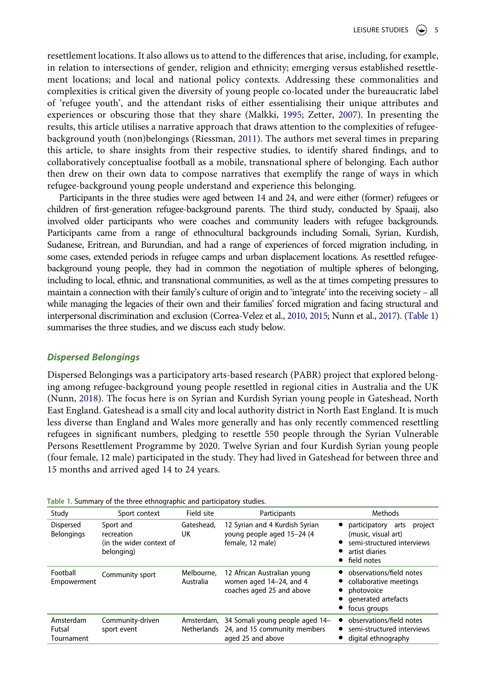<span id="page-6-2"></span>resettlement locations. It also allows us to attend to the differences that arise, including, for example, in relation to intersections of gender, religion and ethnicity; emerging versus established resettlement locations; and local and national policy contexts. Addressing these commonalities and complexities is critical given the diversity of young people co-located under the bureaucratic label of 'refugee youth', and the attendant risks of either essentialising their unique attributes and experiences or obscuring those that they share (Malkki, [1995](#page-14-20); Zetter, [2007\)](#page-15-9). In presenting the results, this article utilises a narrative approach that draws attention to the complexities of refugeebackground youth (non)belongings (Riessman, [2011\)](#page-14-21). The authors met several times in preparing this article, to share insights from their respective studies, to identify shared findings, and to collaboratively conceptualise football as a mobile, transnational sphere of belonging. Each author then drew on their own data to compose narratives that exemplify the range of ways in which refugee-background young people understand and experience this belonging.

<span id="page-6-3"></span>Participants in the three studies were aged between 14 and 24, and were either (former) refugees or children of first-generation refugee-background parents. The third study, conducted by Spaaij, also involved older participants who were coaches and community leaders with refugee backgrounds. Participants came from a range of ethnocultural backgrounds including Somali, Syrian, Kurdish, Sudanese, Eritrean, and Burundian, and had a range of experiences of forced migration including, in some cases, extended periods in refugee camps and urban displacement locations. As resettled refugeebackground young people, they had in common the negotiation of multiple spheres of belonging, including to local, ethnic, and transnational communities, as well as the at times competing pressures to maintain a connection with their family's culture of origin and to 'integrate' into the receiving society – all while managing the legacies of their own and their families' forced migration and facing structural and interpersonal discrimination and exclusion (Correa-Velez et al., [2010,](#page-13-2) [2015;](#page-13-10) Nunn et al., [2017\)](#page-14-0). ([Table 1\)](#page-6-0) summarises the three studies, and we discuss each study below.

### <span id="page-6-1"></span>*Dispersed Belongings*

Dispersed Belongings was a participatory arts-based research (PABR) project that explored belonging among refugee-background young people resettled in regional cities in Australia and the UK (Nunn, [2018\)](#page-14-12). The focus here is on Syrian and Kurdish Syrian young people in Gateshead, North East England. Gateshead is a small city and local authority district in North East England. It is much less diverse than England and Wales more generally and has only recently commenced resettling refugees in significant numbers, pledging to resettle 550 people through the Syrian Vulnerable Persons Resettlement Programme by 2020. Twelve Syrian and four Kurdish Syrian young people (four female, 12 male) participated in the study. They had lived in Gateshead for between three and 15 months and arrived aged 14 to 24 years.

| Study                             | Sport context                                                     | Field site              | Participants                                                                                    | <b>Methods</b>                                                                                                           |
|-----------------------------------|-------------------------------------------------------------------|-------------------------|-------------------------------------------------------------------------------------------------|--------------------------------------------------------------------------------------------------------------------------|
| Dispersed<br><b>Belongings</b>    | Sport and<br>recreation<br>(in the wider context of<br>belonging) | Gateshead,<br>UK        | 12 Syrian and 4 Kurdish Syrian<br>young people aged 15-24 (4<br>female, 12 male)                | participatory<br>project<br>arts<br>(music, visual art)<br>semi-structured interviews<br>artist diaries<br>• field notes |
| Football<br>Empowerment           | Community sport                                                   | Melbourne.<br>Australia | 12 African Australian young<br>women aged 14-24, and 4<br>coaches aged 25 and above             | • observations/field notes<br>collaborative meetings<br>photovoice<br>• generated artefacts<br>focus groups              |
| Amsterdam<br>Futsal<br>Tournament | Community-driven<br>sport event                                   | Netherlands             | Amsterdam, 34 Somali young people aged 14-<br>24, and 15 community members<br>aged 25 and above | observations/field notes<br>semi-structured interviews<br>$\bullet$<br>digital ethnography                               |

<span id="page-6-0"></span>**Table 1.** Summary of the three ethnographic and participatory studies.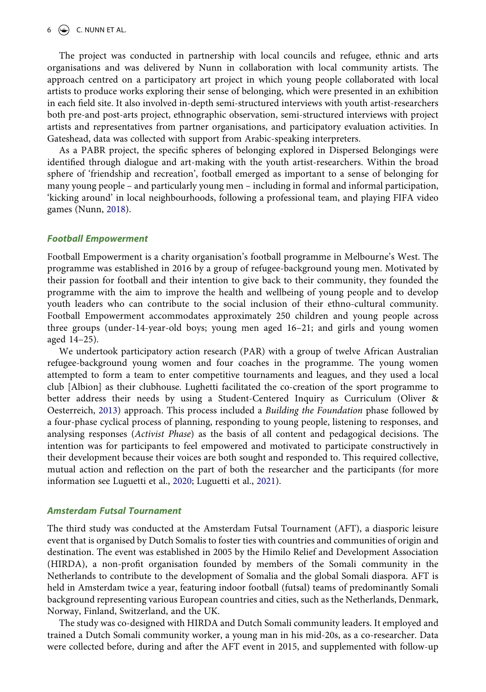#### $6 \quad \Leftrightarrow \quad C.$  NUNN ET AL.

The project was conducted in partnership with local councils and refugee, ethnic and arts organisations and was delivered by Nunn in collaboration with local community artists. The approach centred on a participatory art project in which young people collaborated with local artists to produce works exploring their sense of belonging, which were presented in an exhibition in each field site. It also involved in-depth semi-structured interviews with youth artist-researchers both pre-and post-arts project, ethnographic observation, semi-structured interviews with project artists and representatives from partner organisations, and participatory evaluation activities. In Gateshead, data was collected with support from Arabic-speaking interpreters.

As a PABR project, the specific spheres of belonging explored in Dispersed Belongings were identified through dialogue and art-making with the youth artist-researchers. Within the broad sphere of 'friendship and recreation', football emerged as important to a sense of belonging for many young people – and particularly young men – including in formal and informal participation, 'kicking around' in local neighbourhoods, following a professional team, and playing FIFA video games (Nunn, [2018](#page-14-12)).

#### *Football Empowerment*

Football Empowerment is a charity organisation's football programme in Melbourne's West. The programme was established in 2016 by a group of refugee-background young men. Motivated by their passion for football and their intention to give back to their community, they founded the programme with the aim to improve the health and wellbeing of young people and to develop youth leaders who can contribute to the social inclusion of their ethno-cultural community. Football Empowerment accommodates approximately 250 children and young people across three groups (under-14-year-old boys; young men aged 16–21; and girls and young women aged 14–25).

<span id="page-7-1"></span>We undertook participatory action research (PAR) with a group of twelve African Australian refugee-background young women and four coaches in the programme. The young women attempted to form a team to enter competitive tournaments and leagues, and they used a local club [Albion] as their clubhouse. Lughetti facilitated the co-creation of the sport programme to better address their needs by using a Student-Centered Inquiry as Curriculum (Oliver & Oesterreich, [2013](#page-14-22)) approach. This process included a *Building the Foundation* phase followed by a four-phase cyclical process of planning, responding to young people, listening to responses, and analysing responses (*Activist Phase*) as the basis of all content and pedagogical decisions. The intention was for participants to feel empowered and motivated to participate constructively in their development because their voices are both sought and responded to. This required collective, mutual action and reflection on the part of both the researcher and the participants (for more information see Luguetti et al., [2020;](#page-14-23) Luguetti et al., [2021\)](#page-14-16).

#### <span id="page-7-0"></span>*Amsterdam Futsal Tournament*

The third study was conducted at the Amsterdam Futsal Tournament (AFT), a diasporic leisure event that is organised by Dutch Somalis to foster ties with countries and communities of origin and destination. The event was established in 2005 by the Himilo Relief and Development Association (HIRDA), a non-profit organisation founded by members of the Somali community in the Netherlands to contribute to the development of Somalia and the global Somali diaspora. AFT is held in Amsterdam twice a year, featuring indoor football (futsal) teams of predominantly Somali background representing various European countries and cities, such as the Netherlands, Denmark, Norway, Finland, Switzerland, and the UK.

The study was co-designed with HIRDA and Dutch Somali community leaders. It employed and trained a Dutch Somali community worker, a young man in his mid-20s, as a co-researcher. Data were collected before, during and after the AFT event in 2015, and supplemented with follow-up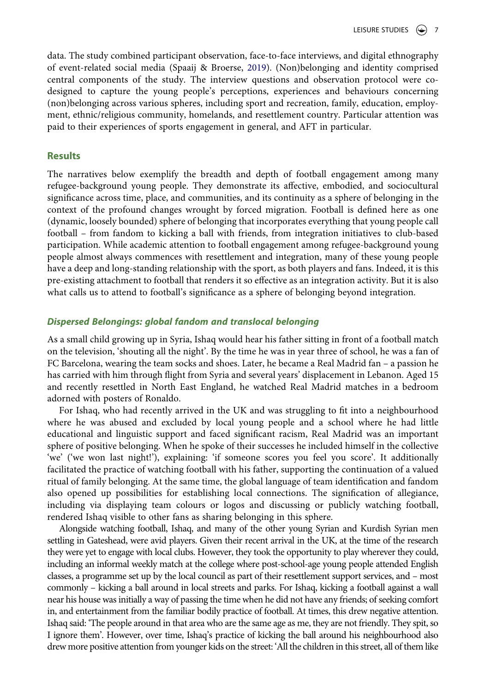<span id="page-8-0"></span>data. The study combined participant observation, face-to-face interviews, and digital ethnography of event-related social media (Spaaij & Broerse, [2019](#page-14-24)). (Non)belonging and identity comprised central components of the study. The interview questions and observation protocol were codesigned to capture the young people's perceptions, experiences and behaviours concerning (non)belonging across various spheres, including sport and recreation, family, education, employment, ethnic/religious community, homelands, and resettlement country. Particular attention was paid to their experiences of sports engagement in general, and AFT in particular.

#### **Results**

The narratives below exemplify the breadth and depth of football engagement among many refugee-background young people. They demonstrate its affective, embodied, and sociocultural significance across time, place, and communities, and its continuity as a sphere of belonging in the context of the profound changes wrought by forced migration. Football is defined here as one (dynamic, loosely bounded) sphere of belonging that incorporates everything that young people call football – from fandom to kicking a ball with friends, from integration initiatives to club-based participation. While academic attention to football engagement among refugee-background young people almost always commences with resettlement and integration, many of these young people have a deep and long-standing relationship with the sport, as both players and fans. Indeed, it is this pre-existing attachment to football that renders it so effective as an integration activity. But it is also what calls us to attend to football's significance as a sphere of belonging beyond integration.

### *Dispersed Belongings: global fandom and translocal belonging*

As a small child growing up in Syria, Ishaq would hear his father sitting in front of a football match on the television, 'shouting all the night'. By the time he was in year three of school, he was a fan of FC Barcelona, wearing the team socks and shoes. Later, he became a Real Madrid fan – a passion he has carried with him through flight from Syria and several years' displacement in Lebanon. Aged 15 and recently resettled in North East England, he watched Real Madrid matches in a bedroom adorned with posters of Ronaldo.

For Ishaq, who had recently arrived in the UK and was struggling to fit into a neighbourhood where he was abused and excluded by local young people and a school where he had little educational and linguistic support and faced significant racism, Real Madrid was an important sphere of positive belonging. When he spoke of their successes he included himself in the collective 'we' ('we won last night!'), explaining: 'if someone scores you feel you score'. It additionally facilitated the practice of watching football with his father, supporting the continuation of a valued ritual of family belonging. At the same time, the global language of team identification and fandom also opened up possibilities for establishing local connections. The signification of allegiance, including via displaying team colours or logos and discussing or publicly watching football, rendered Ishaq visible to other fans as sharing belonging in this sphere.

Alongside watching football, Ishaq, and many of the other young Syrian and Kurdish Syrian men settling in Gateshead, were avid players. Given their recent arrival in the UK, at the time of the research they were yet to engage with local clubs. However, they took the opportunity to play wherever they could, including an informal weekly match at the college where post-school-age young people attended English classes, a programme set up by the local council as part of their resettlement support services, and – most commonly – kicking a ball around in local streets and parks. For Ishaq, kicking a football against a wall near his house was initially a way of passing the time when he did not have any friends; of seeking comfort in, and entertainment from the familiar bodily practice of football. At times, this drew negative attention. Ishaq said: 'The people around in that area who are the same age as me, they are not friendly. They spit, so I ignore them'. However, over time, Ishaq's practice of kicking the ball around his neighbourhood also drew more positive attention from younger kids on the street: 'All the children in this street, all of them like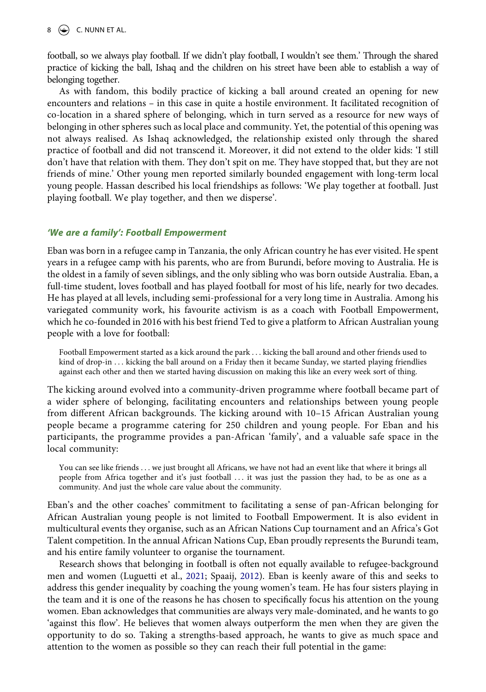$8 \quad \Leftrightarrow$  C. NUNN ET AL.

football, so we always play football. If we didn't play football, I wouldn't see them.' Through the shared practice of kicking the ball, Ishaq and the children on his street have been able to establish a way of belonging together.

As with fandom, this bodily practice of kicking a ball around created an opening for new encounters and relations – in this case in quite a hostile environment. It facilitated recognition of co-location in a shared sphere of belonging, which in turn served as a resource for new ways of belonging in other spheres such as local place and community. Yet, the potential of this opening was not always realised. As Ishaq acknowledged, the relationship existed only through the shared practice of football and did not transcend it. Moreover, it did not extend to the older kids: 'I still don't have that relation with them. They don't spit on me. They have stopped that, but they are not friends of mine.' Other young men reported similarly bounded engagement with long-term local young people. Hassan described his local friendships as follows: 'We play together at football. Just playing football. We play together, and then we disperse'.

#### *'We are a family': Football Empowerment*

Eban was born in a refugee camp in Tanzania, the only African country he has ever visited. He spent years in a refugee camp with his parents, who are from Burundi, before moving to Australia. He is the oldest in a family of seven siblings, and the only sibling who was born outside Australia. Eban, a full-time student, loves football and has played football for most of his life, nearly for two decades. He has played at all levels, including semi-professional for a very long time in Australia. Among his variegated community work, his favourite activism is as a coach with Football Empowerment, which he co-founded in 2016 with his best friend Ted to give a platform to African Australian young people with a love for football:

Football Empowerment started as a kick around the park . . . kicking the ball around and other friends used to kind of drop-in . . . kicking the ball around on a Friday then it became Sunday, we started playing friendlies against each other and then we started having discussion on making this like an every week sort of thing.

The kicking around evolved into a community-driven programme where football became part of a wider sphere of belonging, facilitating encounters and relationships between young people from different African backgrounds. The kicking around with 10–15 African Australian young people became a programme catering for 250 children and young people. For Eban and his participants, the programme provides a pan-African 'family', and a valuable safe space in the local community:

You can see like friends . . . we just brought all Africans, we have not had an event like that where it brings all people from Africa together and it's just football . . . it was just the passion they had, to be as one as a community. And just the whole care value about the community.

Eban's and the other coaches' commitment to facilitating a sense of pan-African belonging for African Australian young people is not limited to Football Empowerment. It is also evident in multicultural events they organise, such as an African Nations Cup tournament and an Africa's Got Talent competition. In the annual African Nations Cup, Eban proudly represents the Burundi team, and his entire family volunteer to organise the tournament.

Research shows that belonging in football is often not equally available to refugee-background men and women (Luguetti et al., [2021;](#page-14-16) Spaaij, [2012](#page-14-6)). Eban is keenly aware of this and seeks to address this gender inequality by coaching the young women's team. He has four sisters playing in the team and it is one of the reasons he has chosen to specifically focus his attention on the young women. Eban acknowledges that communities are always very male-dominated, and he wants to go 'against this flow'. He believes that women always outperform the men when they are given the opportunity to do so. Taking a strengths-based approach, he wants to give as much space and attention to the women as possible so they can reach their full potential in the game: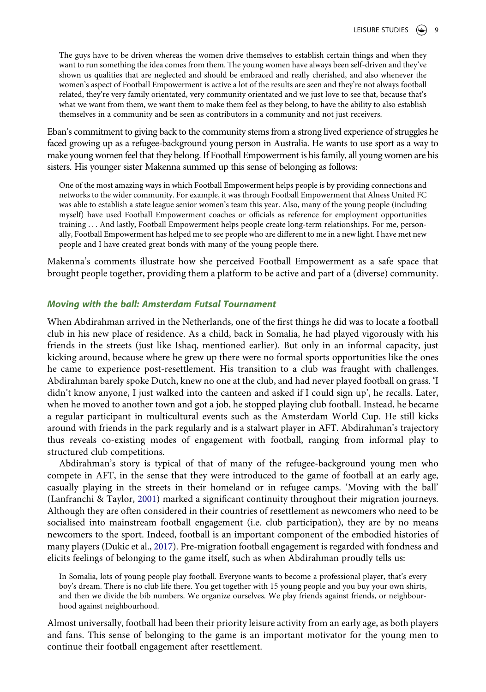The guys have to be driven whereas the women drive themselves to establish certain things and when they want to run something the idea comes from them. The young women have always been self-driven and they've shown us qualities that are neglected and should be embraced and really cherished, and also whenever the women's aspect of Football Empowerment is active a lot of the results are seen and they're not always football related, they're very family orientated, very community orientated and we just love to see that, because that's what we want from them, we want them to make them feel as they belong, to have the ability to also establish themselves in a community and be seen as contributors in a community and not just receivers.

Eban's commitment to giving back to the community stems from a strong lived experience of struggles he faced growing up as a refugee-background young person in Australia. He wants to use sport as a way to make young women feel that they belong. If Football Empowerment is his family, all young women are his sisters. His younger sister Makenna summed up this sense of belonging as follows:

One of the most amazing ways in which Football Empowerment helps people is by providing connections and networks to the wider community. For example, it was through Football Empowerment that Alness United FC was able to establish a state league senior women's team this year. Also, many of the young people (including myself) have used Football Empowerment coaches or officials as reference for employment opportunities training . . . And lastly, Football Empowerment helps people create long-term relationships. For me, personally, Football Empowerment has helped me to see people who are different to me in a new light. I have met new people and I have created great bonds with many of the young people there.

Makenna's comments illustrate how she perceived Football Empowerment as a safe space that brought people together, providing them a platform to be active and part of a (diverse) community.

# *Moving with the ball: Amsterdam Futsal Tournament*

When Abdirahman arrived in the Netherlands, one of the first things he did was to locate a football club in his new place of residence. As a child, back in Somalia, he had played vigorously with his friends in the streets (just like Ishaq, mentioned earlier). But only in an informal capacity, just kicking around, because where he grew up there were no formal sports opportunities like the ones he came to experience post-resettlement. His transition to a club was fraught with challenges. Abdirahman barely spoke Dutch, knew no one at the club, and had never played football on grass. 'I didn't know anyone, I just walked into the canteen and asked if I could sign up', he recalls. Later, when he moved to another town and got a job, he stopped playing club football. Instead, he became a regular participant in multicultural events such as the Amsterdam World Cup. He still kicks around with friends in the park regularly and is a stalwart player in AFT. Abdirahman's trajectory thus reveals co-existing modes of engagement with football, ranging from informal play to structured club competitions.

<span id="page-10-0"></span>Abdirahman's story is typical of that of many of the refugee-background young men who compete in AFT, in the sense that they were introduced to the game of football at an early age, casually playing in the streets in their homeland or in refugee camps. 'Moving with the ball' (Lanfranchi & Taylor, [2001\)](#page-14-25) marked a significant continuity throughout their migration journeys. Although they are often considered in their countries of resettlement as newcomers who need to be socialised into mainstream football engagement (i.e. club participation), they are by no means newcomers to the sport. Indeed, football is an important component of the embodied histories of many players (Dukic et al., [2017](#page-13-1)). Pre-migration football engagement is regarded with fondness and elicits feelings of belonging to the game itself, such as when Abdirahman proudly tells us:

In Somalia, lots of young people play football. Everyone wants to become a professional player, that's every boy's dream. There is no club life there. You get together with 15 young people and you buy your own shirts, and then we divide the bib numbers. We organize ourselves. We play friends against friends, or neighbourhood against neighbourhood.

Almost universally, football had been their priority leisure activity from an early age, as both players and fans. This sense of belonging to the game is an important motivator for the young men to continue their football engagement after resettlement.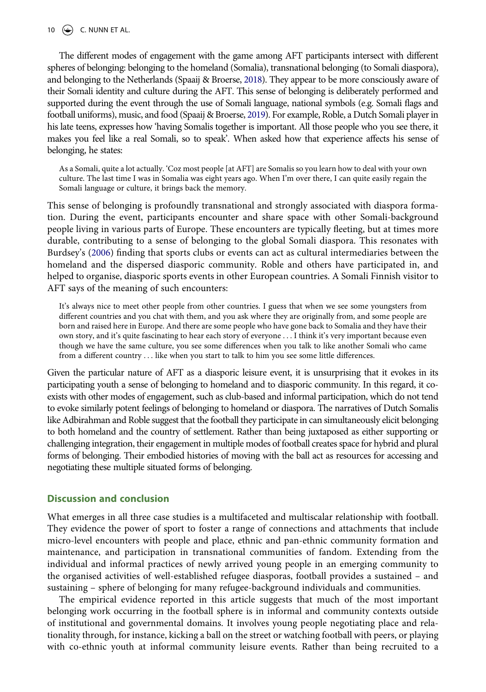#### 10  $\left(\rightarrow\right)$  C. NUNN ET AL.

<span id="page-11-1"></span>The different modes of engagement with the game among AFT participants intersect with different spheres of belonging: belonging to the homeland (Somalia), transnational belonging (to Somali diaspora), and belonging to the Netherlands (Spaaij & Broerse, [2018\)](#page-14-26). They appear to be more consciously aware of their Somali identity and culture during the AFT. This sense of belonging is deliberately performed and supported during the event through the use of Somali language, national symbols (e.g. Somali flags and football uniforms), music, and food (Spaaij & Broerse, [2019](#page-14-24)). For example, Roble, a Dutch Somali player in his late teens, expresses how 'having Somalis together is important. All those people who you see there, it makes you feel like a real Somali, so to speak'. When asked how that experience affects his sense of belonging, he states:

As a Somali, quite a lot actually. 'Coz most people [at AFT] are Somalis so you learn how to deal with your own culture. The last time I was in Somalia was eight years ago. When I'm over there, I can quite easily regain the Somali language or culture, it brings back the memory.

<span id="page-11-0"></span>This sense of belonging is profoundly transnational and strongly associated with diaspora formation. During the event, participants encounter and share space with other Somali-background people living in various parts of Europe. These encounters are typically fleeting, but at times more durable, contributing to a sense of belonging to the global Somali diaspora. This resonates with Burdsey's ([2006](#page-13-11)) finding that sports clubs or events can act as cultural intermediaries between the homeland and the dispersed diasporic community. Roble and others have participated in, and helped to organise, diasporic sports events in other European countries. A Somali Finnish visitor to AFT says of the meaning of such encounters:

It's always nice to meet other people from other countries. I guess that when we see some youngsters from different countries and you chat with them, and you ask where they are originally from, and some people are born and raised here in Europe. And there are some people who have gone back to Somalia and they have their own story, and it's quite fascinating to hear each story of everyone . . . I think it's very important because even though we have the same culture, you see some differences when you talk to like another Somali who came from a different country . . . like when you start to talk to him you see some little differences.

Given the particular nature of AFT as a diasporic leisure event, it is unsurprising that it evokes in its participating youth a sense of belonging to homeland and to diasporic community. In this regard, it coexists with other modes of engagement, such as club-based and informal participation, which do not tend to evoke similarly potent feelings of belonging to homeland or diaspora. The narratives of Dutch Somalis like Adbirahman and Roble suggest that the football they participate in can simultaneously elicit belonging to both homeland and the country of settlement. Rather than being juxtaposed as either supporting or challenging integration, their engagement in multiple modes of football creates space for hybrid and plural forms of belonging. Their embodied histories of moving with the ball act as resources for accessing and negotiating these multiple situated forms of belonging.

# **Discussion and conclusion**

What emerges in all three case studies is a multifaceted and multiscalar relationship with football. They evidence the power of sport to foster a range of connections and attachments that include micro-level encounters with people and place, ethnic and pan-ethnic community formation and maintenance, and participation in transnational communities of fandom. Extending from the individual and informal practices of newly arrived young people in an emerging community to the organised activities of well-established refugee diasporas, football provides a sustained – and sustaining – sphere of belonging for many refugee-background individuals and communities.

The empirical evidence reported in this article suggests that much of the most important belonging work occurring in the football sphere is in informal and community contexts outside of institutional and governmental domains. It involves young people negotiating place and relationality through, for instance, kicking a ball on the street or watching football with peers, or playing with co-ethnic youth at informal community leisure events. Rather than being recruited to a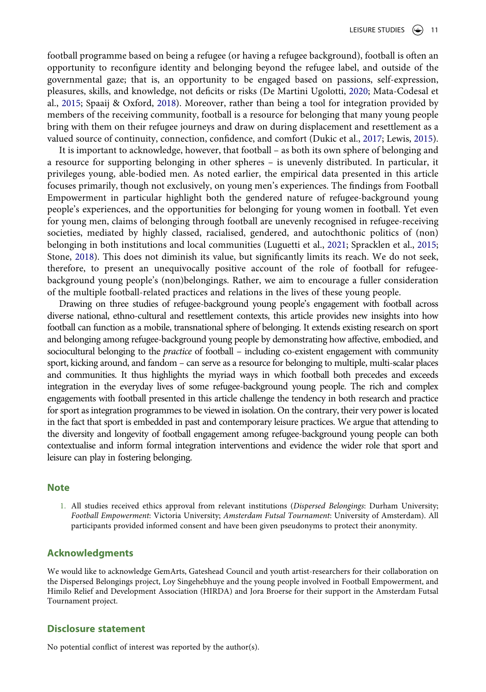<span id="page-12-1"></span>football programme based on being a refugee (or having a refugee background), football is often an opportunity to reconfigure identity and belonging beyond the refugee label, and outside of the governmental gaze; that is, an opportunity to be engaged based on passions, self-expression, pleasures, skills, and knowledge, not deficits or risks (De Martini Ugolotti, [2020;](#page-13-7) Mata-Codesal et al., [2015;](#page-14-7) Spaaij & Oxford, [2018\)](#page-14-27). Moreover, rather than being a tool for integration provided by members of the receiving community, football is a resource for belonging that many young people bring with them on their refugee journeys and draw on during displacement and resettlement as a valued source of continuity, connection, confidence, and comfort (Dukic et al., [2017;](#page-13-1) Lewis, [2015](#page-14-17)).

It is important to acknowledge, however, that football – as both its own sphere of belonging and a resource for supporting belonging in other spheres – is unevenly distributed. In particular, it privileges young, able-bodied men. As noted earlier, the empirical data presented in this article focuses primarily, though not exclusively, on young men's experiences. The findings from Football Empowerment in particular highlight both the gendered nature of refugee-background young people's experiences, and the opportunities for belonging for young women in football. Yet even for young men, claims of belonging through football are unevenly recognised in refugee-receiving societies, mediated by highly classed, racialised, gendered, and autochthonic politics of (non) belonging in both institutions and local communities (Luguetti et al., [2021;](#page-14-16) Spracklen et al., [2015;](#page-15-5) Stone, [2018](#page-15-2)). This does not diminish its value, but significantly limits its reach. We do not seek, therefore, to present an unequivocally positive account of the role of football for refugeebackground young people's (non)belongings. Rather, we aim to encourage a fuller consideration of the multiple football-related practices and relations in the lives of these young people.

Drawing on three studies of refugee-background young people's engagement with football across diverse national, ethno-cultural and resettlement contexts, this article provides new insights into how football can function as a mobile, transnational sphere of belonging. It extends existing research on sport and belonging among refugee-background young people by demonstrating how affective, embodied, and sociocultural belonging to the *practice* of football – including co-existent engagement with community sport, kicking around, and fandom – can serve as a resource for belonging to multiple, multi-scalar places and communities. It thus highlights the myriad ways in which football both precedes and exceeds integration in the everyday lives of some refugee-background young people. The rich and complex engagements with football presented in this article challenge the tendency in both research and practice for sport as integration programmes to be viewed in isolation. On the contrary, their very power is located in the fact that sport is embedded in past and contemporary leisure practices. We argue that attending to the diversity and longevity of football engagement among refugee-background young people can both contextualise and inform formal integration interventions and evidence the wider role that sport and leisure can play in fostering belonging.

#### **Note**

<span id="page-12-0"></span>1. All studies received ethics approval from relevant institutions (*Dispersed Belongings*: Durham University; *Football Empowerment*: Victoria University; *Amsterdam Futsal Tournament*: University of Amsterdam). All participants provided informed consent and have been given pseudonyms to protect their anonymity.

#### **Acknowledgments**

We would like to acknowledge GemArts, Gateshead Council and youth artist-researchers for their collaboration on the Dispersed Belongings project, Loy Singehebhuye and the young people involved in Football Empowerment, and Himilo Relief and Development Association (HIRDA) and Jora Broerse for their support in the Amsterdam Futsal Tournament project.

#### **Disclosure statement**

No potential conflict of interest was reported by the author(s).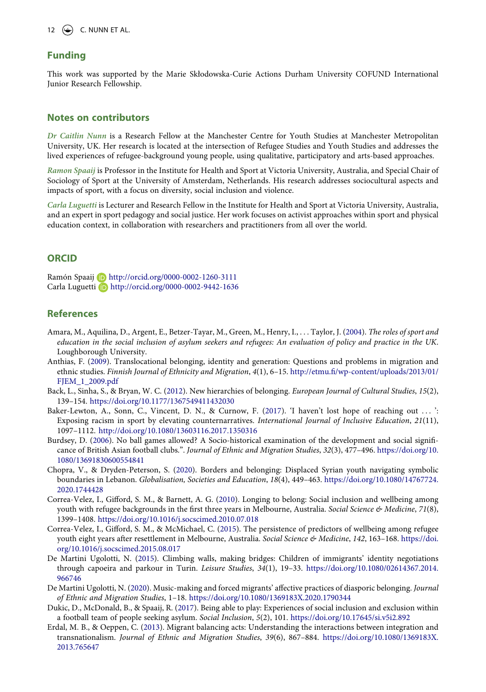#### 12  $\left(\bigcirc\right)$  C. NUNN ET AL.

#### **Funding**

This work was supported by the Marie Skłodowska-Curie Actions Durham University COFUND International Junior Research Fellowship.

#### **Notes on contributors**

*Dr Caitlin Nunn* is a Research Fellow at the Manchester Centre for Youth Studies at Manchester Metropolitan University, UK. Her research is located at the intersection of Refugee Studies and Youth Studies and addresses the lived experiences of refugee-background young people, using qualitative, participatory and arts-based approaches.

*Ramon Spaaij* is Professor in the Institute for Health and Sport at Victoria University, Australia, and Special Chair of Sociology of Sport at the University of Amsterdam, Netherlands. His research addresses sociocultural aspects and impacts of sport, with a focus on diversity, social inclusion and violence.

*Carla Luguetti* is Lecturer and Research Fellow in the Institute for Health and Sport at Victoria University, Australia, and an expert in sport pedagogy and social justice. Her work focuses on activist approaches within sport and physical education context, in collaboration with researchers and practitioners from all over the world.

#### **ORCID**

Ramón Spaaij http://orcid.org/0000-0002-1260-3111 Carla Luguetti **b** http://orcid.org/0000-0002-9442-1636

#### **References**

- <span id="page-13-0"></span>Amara, M., Aquilina, D., Argent, E., Betzer-Tayar, M., Green, M., Henry, I., . . . Taylor, J. [\(2004](#page-3-0)). *The roles of sport and education in the social inclusion of asylum seekers and refugees: An evaluation of policy and practice in the UK*. Loughborough University.
- <span id="page-13-4"></span>Anthias, F. ([2009](#page-4-0)). Translocational belonging, identity and generation: Questions and problems in migration and ethnic studies. *Finnish Journal of Ethnicity and Migration*, *4*(1), 6–15. [http://etmu.fi/wp-content/uploads/2013/01/](http://etmu.fi/wp-content/uploads/2013/01/FJEM_1_2009.pdf) [FJEM\\_1\\_2009.pdf](http://etmu.fi/wp-content/uploads/2013/01/FJEM_1_2009.pdf)
- <span id="page-13-5"></span>Back, L., Sinha, S., & Bryan, W. C. [\(2012\)](#page-4-1). New hierarchies of belonging. *European Journal of Cultural Studies*, *15*(2), 139–154. <https://doi.org/10.1177/1367549411432030>
- <span id="page-13-6"></span>Baker-Lewton, A., Sonn, C., Vincent, D. N., & Curnow, F. [\(2017\)](#page-4-2). 'I haven't lost hope of reaching out . . . ': Exposing racism in sport by elevating counternarratives. *International Journal of Inclusive Education*, *21*(11), 1097–1112. <http://doi.org/10.1080/13603116.2017.1350316>
- <span id="page-13-11"></span>Burdsey, D. [\(2006\)](#page-11-0). No ball games allowed? A Socio-historical examination of the development and social significance of British Asian football clubs.". *Journal of Ethnic and Migration Studies*, *32*(3), 477–496. [https://doi.org/10.](https://doi.org/10.1080/13691830600554841) [1080/13691830600554841](https://doi.org/10.1080/13691830600554841)
- <span id="page-13-3"></span>Chopra, V., & Dryden-Peterson, S. ([2020](#page-3-1)). Borders and belonging: Displaced Syrian youth navigating symbolic boundaries in Lebanon. *Globalisation, Societies and Education*, *18*(4), 449–463. [https://doi.org/10.1080/14767724.](https://doi.org/10.1080/14767724.2020.1744428) [2020.1744428](https://doi.org/10.1080/14767724.2020.1744428)
- <span id="page-13-2"></span>Correa-Velez, I., Gifford, S. M., & Barnett, A. G. [\(2010\)](#page-3-2). Longing to belong: Social inclusion and wellbeing among youth with refugee backgrounds in the first three years in Melbourne, Australia. *Social Science & Medicine*, *71*(8), 1399–1408. <https://doi.org/10.1016/j.socscimed.2010.07.018>
- <span id="page-13-10"></span>Correa-Velez, I., Gifford, S. M., & McMichael, C. ([2015\)](#page-6-1). The persistence of predictors of wellbeing among refugee youth eight years after resettlement in Melbourne, Australia. *Social Science & Medicine*, *142*, 163–168. [https://doi.](https://doi.org/10.1016/j.socscimed.2015.08.017) [org/10.1016/j.socscimed.2015.08.017](https://doi.org/10.1016/j.socscimed.2015.08.017)
- <span id="page-13-8"></span>De Martini Ugolotti, N. [\(2015\)](#page-5-0). Climbing walls, making bridges: Children of immigrants' identity negotiations through capoeira and parkour in Turin. *Leisure Studies*, *34*(1), 19–33. [https://doi.org/10.1080/02614367.2014.](https://doi.org/10.1080/02614367.2014.966746) [966746](https://doi.org/10.1080/02614367.2014.966746)
- <span id="page-13-7"></span>De Martini Ugolotti, N. ([2020\)](#page-5-1). Music-making and forced migrants' affective practices of diasporic belonging. *Journal of Ethnic and Migration Studies*, 1–18. <https://doi.org/10.1080/1369183X.2020.1790344>
- <span id="page-13-1"></span>Dukic, D., McDonald, B., & Spaaij, R. ([2017\)](#page-3-3). Being able to play: Experiences of social inclusion and exclusion within a football team of people seeking asylum. *Social Inclusion*, *5*(2), 101. <https://doi.org/10.17645/si.v5i2.892>
- <span id="page-13-9"></span>Erdal, M. B., & Oeppen, C. ([2013](#page-5-2)). Migrant balancing acts: Understanding the interactions between integration and transnationalism. *Journal of Ethnic and Migration Studies*, *39*(6), 867–884. [https://doi.org/10.1080/1369183X.](https://doi.org/10.1080/1369183X.2013.765647) [2013.765647](https://doi.org/10.1080/1369183X.2013.765647)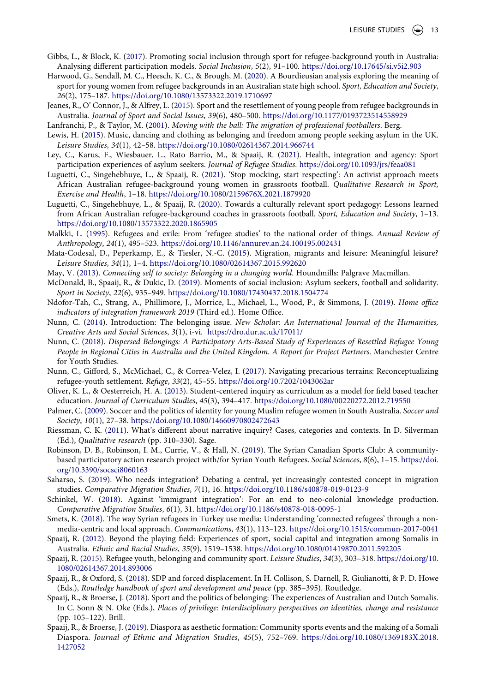- <span id="page-14-3"></span>Gibbs, L., & Block, K. [\(2017\)](#page-3-0). Promoting social inclusion through sport for refugee-background youth in Australia: Analysing different participation models. *Social Inclusion*, *5*(2), 91–100. <https://doi.org/10.17645/si.v5i2.903>
- <span id="page-14-10"></span>Harwood, G., Sendall, M. C., Heesch, K. C., & Brough, M. [\(2020](#page-3-3)). A Bourdieusian analysis exploring the meaning of sport for young women from refugee backgrounds in an Australian state high school. *Sport, Education and Society*, *26*(2), 175–187. <https://doi.org/10.1080/13573322.2019.1710697>
- <span id="page-14-14"></span>Jeanes, R., O' Connor, J., & Alfrey, L. ([2015](#page-4-3)). Sport and the resettlement of young people from refugee backgrounds in Australia. *Journal of Sport and Social Issues*, *39*(6), 480–500. <https://doi.org/10.1177/0193723514558929>
- <span id="page-14-25"></span>Lanfranchi, P., & Taylor, M. ([2001](#page-10-0)). *Moving with the ball: The migration of professional footballers*. Berg.
- <span id="page-14-17"></span>Lewis, H. ([2015\)](#page-5-3). Music, dancing and clothing as belonging and freedom among people seeking asylum in the UK. *Leisure Studies*, *34*(1), 42–58. <https://doi.org/10.1080/02614367.2014.966744>
- <span id="page-14-4"></span>Ley, C., Karus, F., Wiesbauer, L., Rato Barrio, M., & Spaaij, R. ([2021](#page-3-0)). Health, integration and agency: Sport participation experiences of asylum seekers. *Journal of Refugee Studies*. <https://doi.org/10.1093/jrs/feaa081>
- <span id="page-14-16"></span>Luguetti, C., Singehebhuye, L., & Spaaij, R. ([2021](#page-4-4)). 'Stop mocking, start respecting': An activist approach meets African Australian refugee-background young women in grassroots football. *Qualitative Research in Sport, Exercise and Health*, 1–18. <https://doi.org/10.1080/2159676X.2021.1879920>
- <span id="page-14-23"></span>Luguetti, C., Singehebhuye, L., & Spaaij, R. [\(2020](#page-7-0)). Towards a culturally relevant sport pedagogy: Lessons learned from African Australian refugee-background coaches in grassroots football. *Sport, Education and Society*, 1–13. <https://doi.org/10.1080/13573322.2020.1865905>
- <span id="page-14-20"></span>Malkki, L. [\(1995\)](#page-6-2). Refugees and exile: From 'refugee studies' to the national order of things. *Annual Review of Anthropology*, *24*(1), 495–523. <https://doi.org/10.1146/annurev.an.24.100195.002431>
- <span id="page-14-7"></span>Mata-Codesal, D., Peperkamp, E., & Tiesler, N.-C. [\(2015](#page-3-4)). Migration, migrants and leisure: Meaningful leisure? *Leisure Studies*, *34*(1), 1–4. <https://doi.org/10.1080/02614367.2015.992620>
- <span id="page-14-11"></span>May, V. ([2013](#page-3-5)). *Connecting self to society: Belonging in a changing world*. Houndmills: Palgrave Macmillan.
- <span id="page-14-18"></span>McDonald, B., Spaaij, R., & Dukic, D. ([2019](#page-5-4)). Moments of social inclusion: Asylum seekers, football and solidarity. *Sport in Society*, *22*(6), 935–949. <https://doi.org/10.1080/17430437.2018.1504774>
- <span id="page-14-2"></span>Ndofor-Tah, C., Strang, A., Phillimore, J., Morrice, L., Michael, L., Wood, P., & Simmons, J. [\(2019\)](#page-2-2). *Home office indicators of integration framework 2019* (Third ed.). Home Office.
- <span id="page-14-13"></span>Nunn, C. ([2014](#page-3-6)). Introduction: The belonging issue. *New Scholar: An International Journal of the Humanities, Creative Arts and Social Sciences*, *3*(1), i-vi. <https://dro.dur.ac.uk/17011/>
- <span id="page-14-12"></span>Nunn, C. [\(2018](#page-3-5)). *Dispersed Belongings: A Participatory Arts-Based Study of Experiences of Resettled Refugee Young People in Regional Cities in Australia and the United Kingdom. A Report for Project Partners*. Manchester Centre for Youth Studies.
- <span id="page-14-0"></span>Nunn, C., Gifford, S., McMichael, C., & Correa-Velez, I. [\(2017\)](#page-2-3). Navigating precarious terrains: Reconceptualizing refugee-youth settlement. *Refuge*, *33*(2), 45–55. <https://doi.org/10.7202/1043062ar>
- <span id="page-14-22"></span>Oliver, K. L., & Oesterreich, H. A. ([2013\)](#page-7-1). Student-centered inquiry as curriculum as a model for field based teacher education. *Journal of Curriculum Studies*, *45*(3), 394–417. <https://doi.org/10.1080/00220272.2012.719550>
- <span id="page-14-15"></span>Palmer, C. [\(2009\)](#page-4-4). Soccer and the politics of identity for young Muslim refugee women in South Australia. *Soccer and Society*, *10*(1), 27–38. <https://doi.org/10.1080/14660970802472643>
- <span id="page-14-21"></span>Riessman, C. K. [\(2011\)](#page-6-3). What's different about narrative inquiry? Cases, categories and contexts. In D. Silverman (Ed.), *Qualitative research* (pp. 310–330). Sage.
- <span id="page-14-5"></span>Robinson, D. B., Robinson, I. M., Currie, V., & Hall, N. [\(2019\)](#page-3-0). The Syrian Canadian Sports Club: A communitybased participatory action research project with/for Syrian Youth Refugees. *Social Sciences*, *8*(6), 1–15. [https://doi.](https://doi.org/10.3390/socsci8060163) [org/10.3390/socsci8060163](https://doi.org/10.3390/socsci8060163)
- <span id="page-14-9"></span>Saharso, S. [\(2019\)](#page-3-7). Who needs integration? Debating a central, yet increasingly contested concept in migration studies. *Comparative Migration Studies*, *7*(1), 16. <https://doi.org/10.1186/s40878-019-0123-9>
- <span id="page-14-1"></span>Schinkel, W. [\(2018](#page-2-4)). Against 'immigrant integration': For an end to neo-colonial knowledge production. *Comparative Migration Studies*, *6*(1), 31. <https://doi.org/10.1186/s40878-018-0095-1>
- <span id="page-14-19"></span>Smets, K. [\(2018](#page-5-5)). The way Syrian refugees in Turkey use media: Understanding 'connected refugees' through a nonmedia-centric and local approach. *Communications*, *43*(1), 113–123. <https://doi.org/10.1515/commun-2017-0041>
- <span id="page-14-6"></span>Spaaij, R. [\(2012\)](#page-3-0). Beyond the playing field: Experiences of sport, social capital and integration among Somalis in Australia. *Ethnic and Racial Studies*, *35*(9), 1519–1538. <https://doi.org/10.1080/01419870.2011.592205>
- <span id="page-14-8"></span>Spaaij, R. [\(2015\)](#page-3-3). Refugee youth, belonging and community sport. *Leisure Studies*, *34*(3), 303–318. [https://doi.org/10.](https://doi.org/10.1080/02614367.2014.893006) [1080/02614367.2014.893006](https://doi.org/10.1080/02614367.2014.893006)
- <span id="page-14-27"></span>Spaaij, R., & Oxford, S. ([2018](#page-12-1)). SDP and forced displacement. In H. Collison, S. Darnell, R. Giulianotti, & P. D. Howe (Eds.), *Routledge handbook of sport and development and peace* (pp. 385–395). Routledge.
- <span id="page-14-26"></span>Spaaij, R., & Broerse, J. ([2018](#page-11-1)). Sport and the politics of belonging: The experiences of Australian and Dutch Somalis. In C. Sonn & N. Oke (Eds.), *Places of privilege: Interdisciplinary perspectives on identities, change and resistance*  (pp. 105–122). Brill.
- <span id="page-14-24"></span>Spaaij, R., & Broerse, J. ([2019](#page-8-0)). Diaspora as aesthetic formation: Community sports events and the making of a Somali Diaspora. *Journal of Ethnic and Migration Studies*, *45*(5), 752–769. [https://doi.org/10.1080/1369183X.2018.](https://doi.org/10.1080/1369183X.2018.1427052) [1427052](https://doi.org/10.1080/1369183X.2018.1427052)